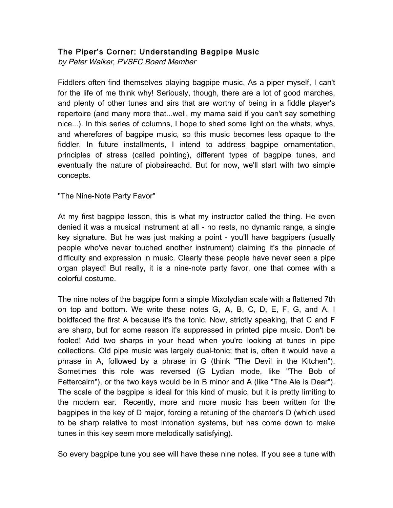## The Piper's Corner: Understanding Bagpipe Music

by Peter Walker, PVSFC Board Member

Fiddlers often find themselves playing bagpipe music. As a piper myself, I can't for the life of me think why! Seriously, though, there are a lot of good marches, and plenty of other tunes and airs that are worthy of being in a fiddle player's repertoire (and many more that...well, my mama said if you can't say something nice...). In this series of columns, I hope to shed some light on the whats, whys, and wherefores of bagpipe music, so this music becomes less opaque to the fiddler. In future installments, I intend to address bagpipe ornamentation, principles of stress (called pointing), different types of bagpipe tunes, and eventually the nature of piobaireachd. But for now, we'll start with two simple concepts.

"The Nine-Note Party Favor"

At my first bagpipe lesson, this is what my instructor called the thing. He even denied it was a musical instrument at all - no rests, no dynamic range, a single key signature. But he was just making a point - you'll have bagpipers (usually people who've never touched another instrument) claiming it's the pinnacle of difficulty and expression in music. Clearly these people have never seen a pipe organ played! But really, it is a nine-note party favor, one that comes with a colorful costume.

The nine notes of the bagpipe form a simple Mixolydian scale with a flattened 7th on top and bottom. We write these notes G, A, B, C, D, E, F, G, and A. I boldfaced the first A because it's the tonic. Now, strictly speaking, that C and F are sharp, but for some reason it's suppressed in printed pipe music. Don't be fooled! Add two sharps in your head when you're looking at tunes in pipe collections. Old pipe music was largely dual-tonic; that is, often it would have a phrase in A, followed by a phrase in G (think "The Devil in the Kitchen"). Sometimes this role was reversed (G Lydian mode, like "The Bob of Fettercairn"), or the two keys would be in B minor and A (like "The Ale is Dear"). The scale of the bagpipe is ideal for this kind of music, but it is pretty limiting to the modern ear. Recently, more and more music has been written for the bagpipes in the key of D major, forcing a retuning of the chanter's D (which used to be sharp relative to most intonation systems, but has come down to make tunes in this key seem more melodically satisfying).

So every bagpipe tune you see will have these nine notes. If you see a tune with